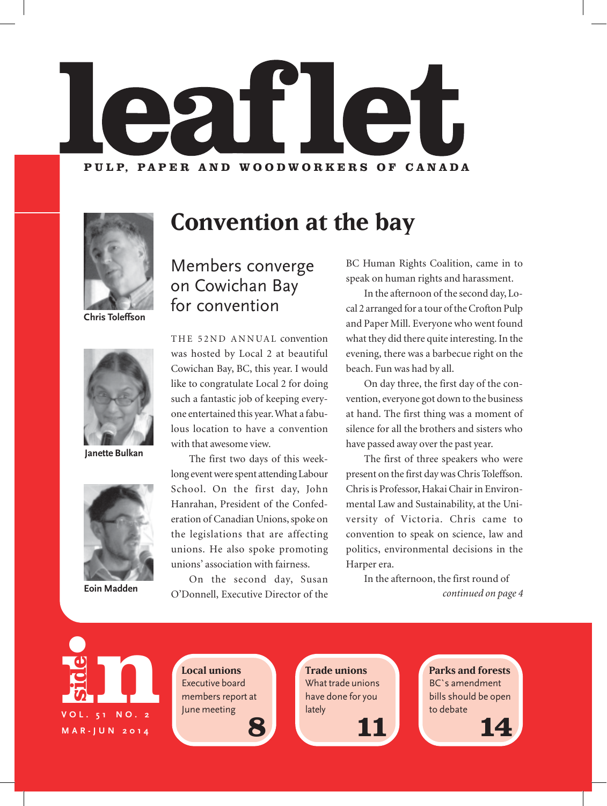



**Chris Toleffson**



**Janette Bulkan**



**Eoin Madden**

## **Convention at the bay**

Members converge on Cowichan Bay for convention

THE 52ND ANNUAL convention was hosted by Local 2 at beautiful Cowichan Bay, BC, this year. I would like to congratulate Local 2 for doing such a fantastic job of keeping everyone entertained this year. What a fabulous location to have a convention with that awesome view.

The first two days of this weeklong event were spent attending Labour School. On the first day, John Hanrahan, President of the Confederation of Canadian Unions, spoke on the legislations that are affecting unions. He also spoke promoting unions' association with fairness.

On the second day, Susan O'Donnell, Executive Director of the BC Human Rights Coalition, came in to speak on human rights and harassment.

In the afternoon of the second day, Local 2 arranged for a tour of the Crofton Pulp and Paper Mill. Everyone who went found what they did there quite interesting. In the evening, there was a barbecue right on the beach. Fun was had by all.

On day three, the first day of the convention, everyone got down to the business at hand. The first thing was a moment of silence for all the brothers and sisters who have passed away over the past year.

The first of three speakers who were present on the first day was Chris Toleffson. Chris is Professor, Hakai Chair in Environmental Law and Sustainability, at the University of Victoria. Chris came to convention to speak on science, law and politics, environmental decisions in the Harper era.

> In the afternoon, the first round of *continued on page 4*



**Local unions Parks and forests** Executive board members report at June meeting

What trade unions have done for you lately



BC`s amendment bills should be open to debate

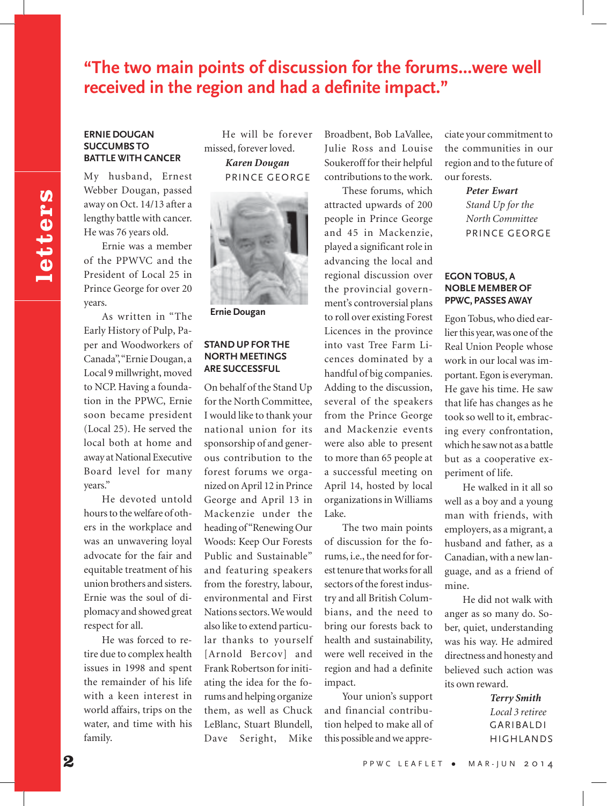## **"The two main points of discussion for the forums...were well received in the region and had a definite impact."**

#### **ERNIE DOUGAN SUCCUMBS TO BATTLE WITH CANCER**

My husband, Ernest Webber Dougan, passed away on Oct. 14/13 after a lengthy battle with cancer. He was 76 years old.

Ernie was a member of the PPWVC and the President of Local 25 in Prince George for over 20 years.

As written in "The Early History of Pulp, Paper and Woodworkers of Canada", "Ernie Dougan, a Local 9 millwright, moved to NCP. Having a foundation in the PPWC, Ernie soon became president (Local 25). He served the local both at home and away at National Executive Board level for many years."

He devoted untold hours to the welfare of others in the workplace and was an unwavering loyal advocate for the fair and equitable treatment of his union brothers and sisters. Ernie was the soul of diplomacy and showed great respect for all.

He was forced to retire due to complex health issues in 1998 and spent the remainder of his life with a keen interest in world affairs, trips on the water, and time with his family.

He will be forever missed, forever loved. *Karen Dougan* PRINCE GEORGE



**Ernie Dougan**

#### **STAND UP FOR THE NORTH MEETINGS ARE SUCCESSFUL**

On behalf of the Stand Up for the North Committee, I would like to thank your national union for its sponsorship of and generous contribution to the forest forums we organized on April 12 in Prince George and April 13 in Mackenzie under the heading of "Renewing Our Woods: Keep Our Forests Public and Sustainable" and featuring speakers from the forestry, labour, environmental and First Nations sectors. We would also like to extend particular thanks to yourself [Arnold Bercov] and Frank Robertson for initiating the idea for the forums and helping organize them, as well as Chuck LeBlanc, Stuart Blundell, Dave Seright, Mike

Broadbent, Bob LaVallee, Julie Ross and Louise Soukeroff for their helpful contributions to the work.

These forums, which attracted upwards of 200 people in Prince George and 45 in Mackenzie, played a significant role in advancing the local and regional discussion over the provincial government's controversial plans to roll over existing Forest Licences in the province into vast Tree Farm Licences dominated by a handful of big companies. Adding to the discussion, several of the speakers from the Prince George and Mackenzie events were also able to present to more than 65 people at a successful meeting on April 14, hosted by local organizations in Williams Lake.

The two main points of discussion for the forums, i.e., the need for forest tenure that works for all sectors of the forest industry and all British Columbians, and the need to bring our forests back to health and sustainability, were well received in the region and had a definite impact.

Your union's support and financial contribution helped to make all of this possible and we appre-

ciate your commitment to the communities in our region and to the future of our forests.

> *Peter Ewart Stand Up for the North Committee* PRINCE GEORGE

#### **EGON TOBUS, A NOBLE MEMBER OF PPWC, PASSES AWAY**

Egon Tobus, who died earlier this year, was one of the Real Union People whose work in our local was important. Egon is everyman. He gave his time. He saw that life has changes as he took so well to it, embracing every confrontation, which he saw not as a battle but as a cooperative experiment of life.

He walked in it all so well as a boy and a young man with friends, with employers, as a migrant, a husband and father, as a Canadian, with a new language, and as a friend of mine.

He did not walk with anger as so many do. Sober, quiet, understanding was his way. He admired directness and honesty and believed such action was its own reward.

> *Terry Smith Local 3 retiree* GARIBALDI HIGHLANDS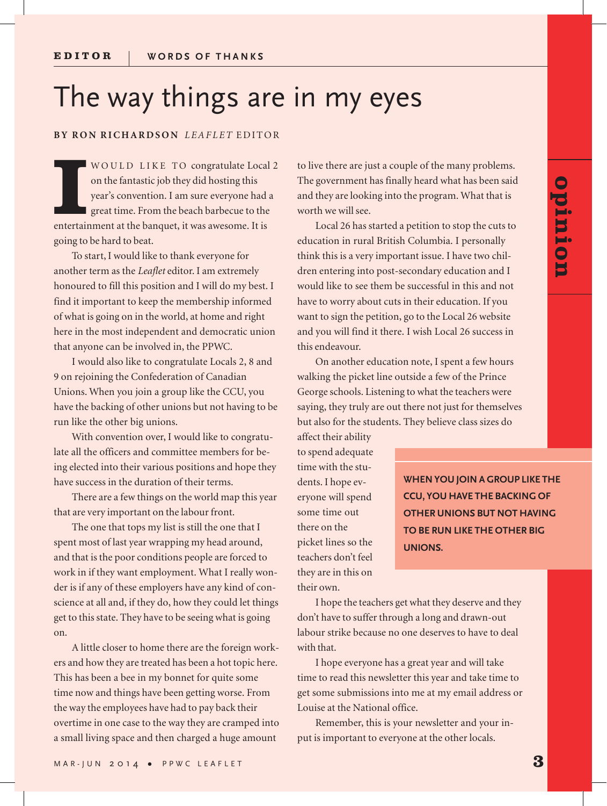# The way things are in my eyes

#### **BY RON RICHARDSON** *LEAFLET* EDITOR

WOULD LIKE TO congratulate Loca<br>
on the fantastic job they did hosting this<br>
year's convention. I am sure everyone had<br>
great time. From the beach barbecue to the<br>
entertainment at the banquet, it was awesome. It is WOULD LIKE TO congratulate Local 2 on the fantastic job they did hosting this year's convention. I am sure everyone had a great time. From the beach barbecue to the going to be hard to beat.

To start, I would like to thank everyone for another term as the *Leaflet* editor. I am extremely honoured to fill this position and I will do my best. I find it important to keep the membership informed of what is going on in the world, at home and right here in the most independent and democratic union that anyone can be involved in, the PPWC.

I would also like to congratulate Locals 2, 8 and 9 on rejoining the Confederation of Canadian Unions. When you join a group like the CCU, you have the backing of other unions but not having to be run like the other big unions.

With convention over, I would like to congratulate all the officers and committee members for being elected into their various positions and hope they have success in the duration of their terms.

There are a few things on the world map this year that are very important on the labour front.

The one that tops my list is still the one that I spent most of last year wrapping my head around, and that is the poor conditions people are forced to work in if they want employment. What I really wonder is if any of these employers have any kind of conscience at all and, if they do, how they could let things get to this state. They have to be seeing what is going on.

A little closer to home there are the foreign workers and how they are treated has been a hot topic here. This has been a bee in my bonnet for quite some time now and things have been getting worse. From the way the employees have had to pay back their overtime in one case to the way they are cramped into a small living space and then charged a huge amount

to live there are just a couple of the many problems. The government has finally heard what has been said and they are looking into the program. What that is worth we will see.

Local 26 has started a petition to stop the cuts to education in rural British Columbia. I personally think this is a very important issue. I have two children entering into post-secondary education and I would like to see them be successful in this and not have to worry about cuts in their education. If you want to sign the petition, go to the Local 26 website and you will find it there. I wish Local 26 success in this endeavour.

On another education note, I spent a few hours walking the picket line outside a few of the Prince George schools. Listening to what the teachers were saying, they truly are out there not just for themselves but also for the students. They believe class sizes do

affect their ability to spend adequate time with the students. I hope everyone will spend some time out there on the picket lines so the teachers don't feel they are in this on their own.

**WHEN YOU JOIN A GROUP LIKE THE CCU, YOU HAVE THE BACKING OF OTHER UNIONS BUT NOT HAVING TO BE RUN LIKE THE OTHER BIG UNIONS.**

I hope the teachers get what they deserve and they don't have to suffer through a long and drawn-out labour strike because no one deserves to have to deal with that.

I hope everyone has a great year and will take time to read this newsletter this year and take time to get some submissions into me at my email address or Louise at the National office.

Remember, this is your newsletter and your input is important to everyone at the other locals.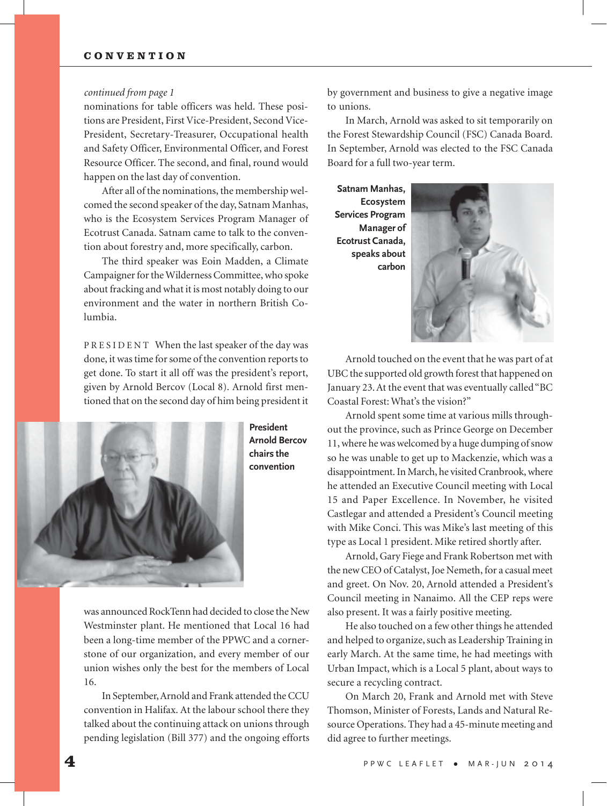#### **CONVENTION**

#### *continued from page 1*

nominations for table officers was held. These positions are President, First Vice-President, Second Vice-President, Secretary-Treasurer, Occupational health and Safety Officer, Environmental Officer, and Forest Resource Officer. The second, and final, round would happen on the last day of convention.

After all of the nominations, the membership welcomed the second speaker of the day, Satnam Manhas, who is the Ecosystem Services Program Manager of Ecotrust Canada. Satnam came to talk to the convention about forestry and, more specifically, carbon.

The third speaker was Eoin Madden, a Climate Campaigner for the Wilderness Committee, who spoke about fracking and what it is most notably doing to our environment and the water in northern British Columbia.

PRESIDENT When the last speaker of the day was done, it was time for some of the convention reports to get done. To start it all off was the president's report, given by Arnold Bercov (Local 8). Arnold first mentioned that on the second day of him being president it



**President Arnold Bercov chairs the convention**

was announced RockTenn had decided to close the New Westminster plant. He mentioned that Local 16 had been a long-time member of the PPWC and a cornerstone of our organization, and every member of our union wishes only the best for the members of Local 16.

In September, Arnold and Frank attended the CCU convention in Halifax. At the labour school there they talked about the continuing attack on unions through pending legislation (Bill 377) and the ongoing efforts by government and business to give a negative image to unions.

In March, Arnold was asked to sit temporarily on the Forest Stewardship Council (FSC) Canada Board. In September, Arnold was elected to the FSC Canada Board for a full two-year term.

**Satnam Manhas, Ecosystem Services Program Manager of Ecotrust Canada, speaks about carbon**



Arnold touched on the event that he was part of at UBC the supported old growth forest that happened on January 23. At the event that was eventually called "BC Coastal Forest: What's the vision?"

Arnold spent some time at various mills throughout the province, such as Prince George on December 11, where he was welcomed by a huge dumping of snow so he was unable to get up to Mackenzie, which was a disappointment. In March, he visited Cranbrook, where he attended an Executive Council meeting with Local 15 and Paper Excellence. In November, he visited Castlegar and attended a President's Council meeting with Mike Conci. This was Mike's last meeting of this type as Local 1 president. Mike retired shortly after.

Arnold, Gary Fiege and Frank Robertson met with the new CEO of Catalyst, Joe Nemeth, for a casual meet and greet. On Nov. 20, Arnold attended a President's Council meeting in Nanaimo. All the CEP reps were also present. It was a fairly positive meeting.

He also touched on a few other things he attended and helped to organize, such as Leadership Training in early March. At the same time, he had meetings with Urban Impact, which is a Local 5 plant, about ways to secure a recycling contract.

On March 20, Frank and Arnold met with Steve Thomson, Minister of Forests, Lands and Natural Resource Operations. They had a 45-minute meeting and did agree to further meetings.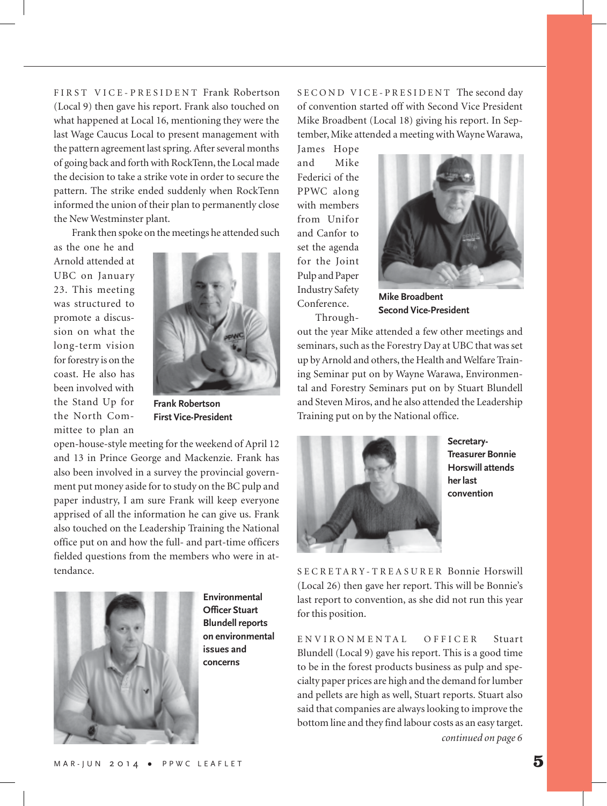FIRST VICE-PRESIDENT Frank Robertson (Local 9) then gave his report. Frank also touched on what happened at Local 16, mentioning they were the last Wage Caucus Local to present management with the pattern agreement last spring. After several months of going back and forth with RockTenn, the Local made the decision to take a strike vote in order to secure the pattern. The strike ended suddenly when RockTenn informed the union of their plan to permanently close the New Westminster plant.

Frank then spoke on the meetings he attended such

as the one he and Arnold attended at UBC on January 23. This meeting was structured to promote a discussion on what the long-term vision for forestry is on the coast. He also has been involved with the Stand Up for the North Committee to plan an



**Frank Robertson First Vice-President**

open-house-style meeting for the weekend of April 12 and 13 in Prince George and Mackenzie. Frank has also been involved in a survey the provincial government put money aside for to study on the BC pulp and paper industry, I am sure Frank will keep everyone apprised of all the information he can give us. Frank also touched on the Leadership Training the National office put on and how the full- and part-time officers fielded questions from the members who were in attendance.



**Environmental Officer Stuart Blundell reports on environmental issues and concerns**

SECOND VICE-PRESIDENT The second day of convention started off with Second Vice President Mike Broadbent (Local 18) giving his report. In September, Mike attended a meeting with Wayne Warawa,

James Hope and Mike Federici of the PPWC along with members from Unifor and Canfor to set the agenda for the Joint Pulp and Paper Industry Safety Conference.

Through-



**Mike Broadbent Second Vice-President**

out the year Mike attended a few other meetings and seminars, such as the Forestry Day at UBC that was set up by Arnold and others, the Health and Welfare Training Seminar put on by Wayne Warawa, Environmental and Forestry Seminars put on by Stuart Blundell and Steven Miros, and he also attended the Leadership Training put on by the National office.



**Secretary-Treasurer Bonnie Horswill attends her last convention**

SECRETARY-TREASURER Bonnie Horswill (Local 26) then gave her report. This will be Bonnie's last report to convention, as she did not run this year for this position.

ENVIRONMENTAL OFFICER Stuart Blundell (Local 9) gave his report. This is a good time to be in the forest products business as pulp and specialty paper prices are high and the demand for lumber and pellets are high as well, Stuart reports. Stuart also said that companies are always looking to improve the bottom line and they find labour costs as an easy target. *continued on page 6*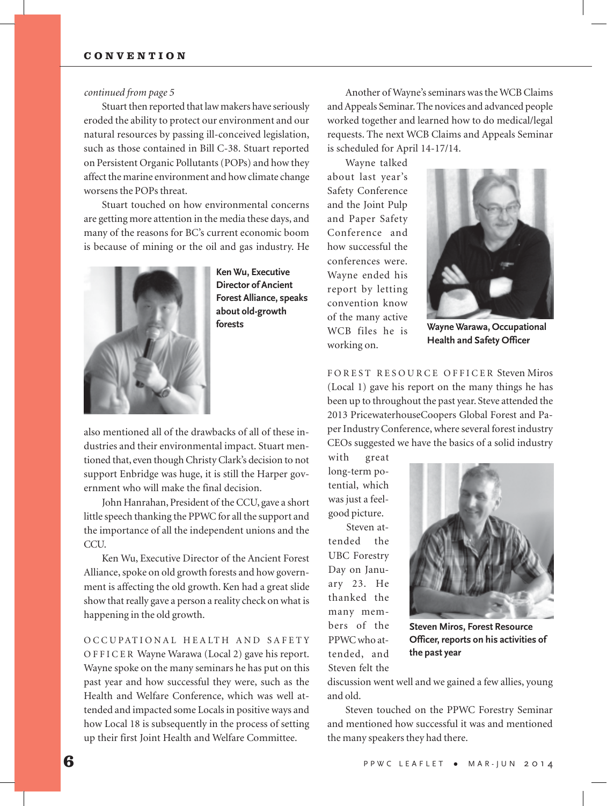#### *continued from page 5*

Stuart then reported that law makers have seriously eroded the ability to protect our environment and our natural resources by passing ill-conceived legislation, such as those contained in Bill C-38. Stuart reported on Persistent Organic Pollutants (POPs) and how they affect the marine environment and how climate change worsens the POPs threat.

Stuart touched on how environmental concerns are getting more attention in the media these days, and many of the reasons for BC's current economic boom is because of mining or the oil and gas industry. He



**Ken Wu, Executive Director of Ancient Forest Alliance, speaks about old-growth forests**

Another of Wayne's seminars was the WCB Claims and Appeals Seminar. The novices and advanced people worked together and learned how to do medical/legal requests. The next WCB Claims and Appeals Seminar is scheduled for April 14-17/14.

Wayne talked about last year's Safety Conference and the Joint Pulp and Paper Safety Conference and how successful the conferences were. Wayne ended his report by letting convention know of the many active WCB files he is working on.



**Wayne Warawa, Occupational Health and Safety Officer**

FOREST RESOURCE OFFICER Steven Miros (Local 1) gave his report on the many things he has been up to throughout the past year. Steve attended the 2013 PricewaterhouseCoopers Global Forest and Paper Industry Conference, where several forest industry CEOs suggested we have the basics of a solid industry

also mentioned all of the drawbacks of all of these industries and their environmental impact. Stuart mentioned that, even though Christy Clark's decision to not support Enbridge was huge, it is still the Harper government who will make the final decision.

John Hanrahan, President of the CCU, gave a short little speech thanking the PPWC for all the support and the importance of all the independent unions and the CCU.

Ken Wu, Executive Director of the Ancient Forest Alliance, spoke on old growth forests and how government is affecting the old growth. Ken had a great slide show that really gave a person a reality check on what is happening in the old growth.

O C C U PATIONAL HEALTH AND SAFETY OFFICER Wayne Warawa (Local 2) gave his report. Wayne spoke on the many seminars he has put on this past year and how successful they were, such as the Health and Welfare Conference, which was well attended and impacted some Locals in positive ways and how Local 18 is subsequently in the process of setting up their first Joint Health and Welfare Committee.

with great long-term potential, which was just a feelgood picture.

Steven attended the UBC Forestry Day on January 23. He thanked the many members of the PPWC who attended, and

Steven felt the



**Steven Miros, Forest Resource Officer, reports on his activities of the past year**

discussion went well and we gained a few allies, young and old.

Steven touched on the PPWC Forestry Seminar and mentioned how successful it was and mentioned the many speakers they had there.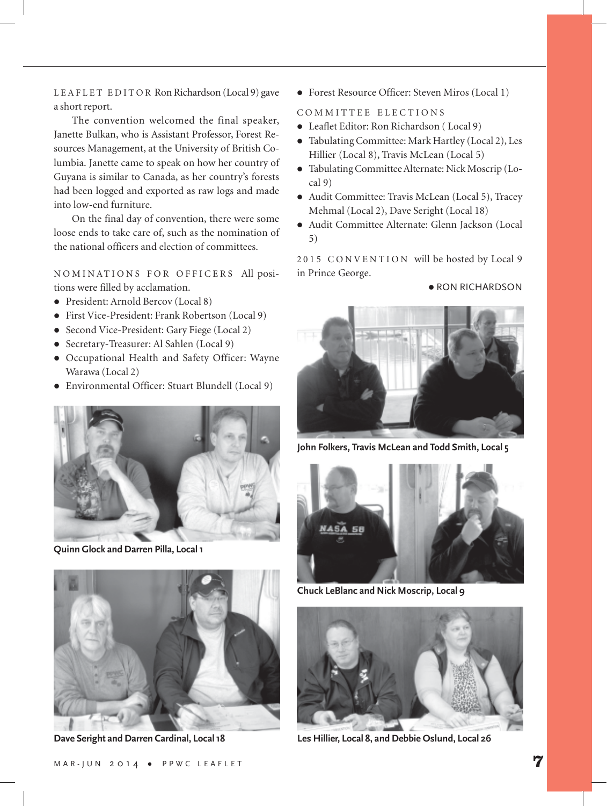LEAFLET EDITOR Ron Richardson (Local 9) gave a short report.

The convention welcomed the final speaker, Janette Bulkan, who is Assistant Professor, Forest Resources Management, at the University of British Columbia. Janette came to speak on how her country of Guyana is similar to Canada, as her country's forests had been logged and exported as raw logs and made into low-end furniture.

On the final day of convention, there were some loose ends to take care of, such as the nomination of the national officers and election of committees.

N O M I N AT I O N S F O R O F F I C E R S All positions were filled by acclamation.

- President: Arnold Bercov (Local 8)
- First Vice-President: Frank Robertson (Local 9)
- Second Vice-President: Gary Fiege (Local 2)
- Secretary-Treasurer: Al Sahlen (Local 9)
- Occupational Health and Safety Officer: Wayne Warawa (Local 2)
- Environmental Officer: Stuart Blundell (Local 9)



**Quinn Glock and Darren Pilla, Local 1**



**Dave Seright and Darren Cardinal, Local 18**

Forest Resource Officer: Steven Miros (Local 1)

#### COMMITTEE ELECTIONS

- Leaflet Editor: Ron Richardson ( Local 9)
- Tabulating Committee: Mark Hartley (Local 2), Les Hillier (Local 8), Travis McLean (Local 5)
- Tabulating Committee Alternate: Nick Moscrip (Local 9)
- Audit Committee: Travis McLean (Local 5), Tracey Mehmal (Local 2), Dave Seright (Local 18)
- Audit Committee Alternate: Glenn Jackson (Local 5)

2015 CONVENTION will be hosted by Local 9 in Prince George.

RON RICHARDSON



**John Folkers, Travis McLean and Todd Smith, Local 5**



**Chuck LeBlanc and Nick Moscrip, Local 9**



**Les Hillier, Local 8, and Debbie Oslund, Local 26**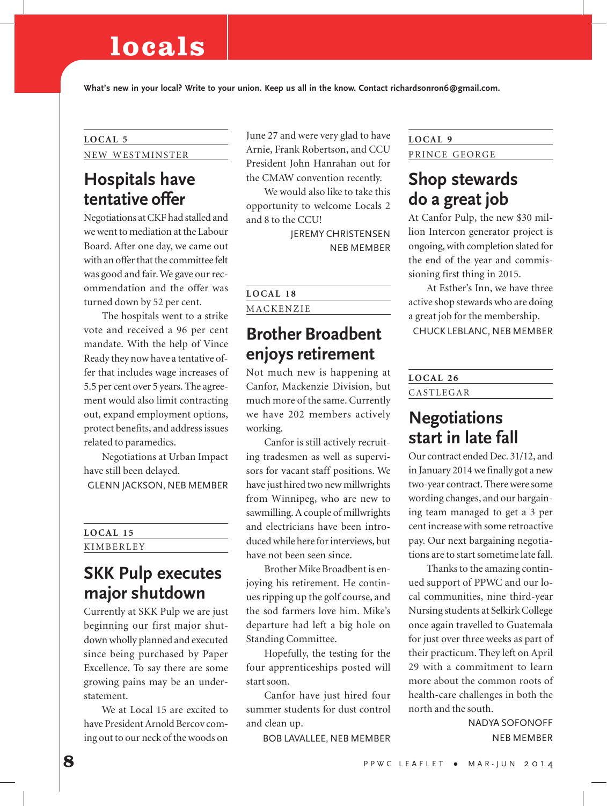## **locals**

**What's new in your local? Write to your union. Keep us all in the know. Contact richardsonron6@gmail.com.**

#### **LOCAL 5**

NEW WESTMINSTER

## **Hospitals have tentative offer**

Negotiations at CKF had stalled and we went to mediation at the Labour Board. After one day, we came out with an offer that the committee felt was good and fair. We gave our recommendation and the offer was turned down by 52 per cent.

The hospitals went to a strike vote and received a 96 per cent mandate. With the help of Vince Ready they now have a tentative offer that includes wage increases of 5.5 per cent over 5 years. The agreement would also limit contracting out, expand employment options, protect benefits, and address issues related to paramedics.

Negotiations at Urban Impact have still been delayed. GLENN JACKSON, NEB MEMBER

| KIMBERLEY |  |
|-----------|--|

## **SKK Pulp executes major shutdown**

Currently at SKK Pulp we are just beginning our first major shutdown wholly planned and executed since being purchased by Paper Excellence. To say there are some growing pains may be an understatement.

We at Local 15 are excited to have President Arnold Bercov coming out to our neck of the woods on

June 27 and were very glad to have Arnie, Frank Robertson, and CCU President John Hanrahan out for the CMAW convention recently.

We would also like to take this opportunity to welcome Locals 2 and 8 to the CCU!

> JEREMY CHRISTENSEN NEB MEMBER

### **LOCAL 18**

**MACKENZIE** 

## **Brother Broadbent enjoys retirement**

Not much new is happening at Canfor, Mackenzie Division, but much more of the same. Currently we have 202 members actively working.

Canfor is still actively recruiting tradesmen as well as supervisors for vacant staff positions. We have just hired two new millwrights from Winnipeg, who are new to sawmilling. A couple of millwrights and electricians have been introduced while here for interviews, but have not been seen since.

Brother Mike Broadbent is enjoying his retirement. He continues ripping up the golf course, and the sod farmers love him. Mike's departure had left a big hole on Standing Committee.

Hopefully, the testing for the four apprenticeships posted will start soon.

Canfor have just hired four summer students for dust control and clean up.

BOB LAVALLEE, NEB MEMBER

#### **LOCAL 9** PRINCE GEORGE

## **Shop stewards do a great job**

At Canfor Pulp, the new \$30 million Intercon generator project is ongoing, with completion slated for the end of the year and commissioning first thing in 2015.

At Esther's Inn, we have three active shop stewards who are doing a great job for the membership.

CHUCK LEBLANC, NEB MEMBER

### **LOCAL 26** CASTLEGAR

## **Negotiations start in late fall**

Our contract ended Dec. 31/12, and in January 2014 we finally got a new two-year contract. There were some wording changes, and our bargaining team managed to get a 3 per cent increase with some retroactive pay. Our next bargaining negotiations are to start sometime late fall.

Thanks to the amazing continued support of PPWC and our local communities, nine third-year Nursing students at Selkirk College once again travelled to Guatemala for just over three weeks as part of their practicum. They left on April 29 with a commitment to learn more about the common roots of health-care challenges in both the north and the south.

> NADYA SOFONOFF NEB MEMBER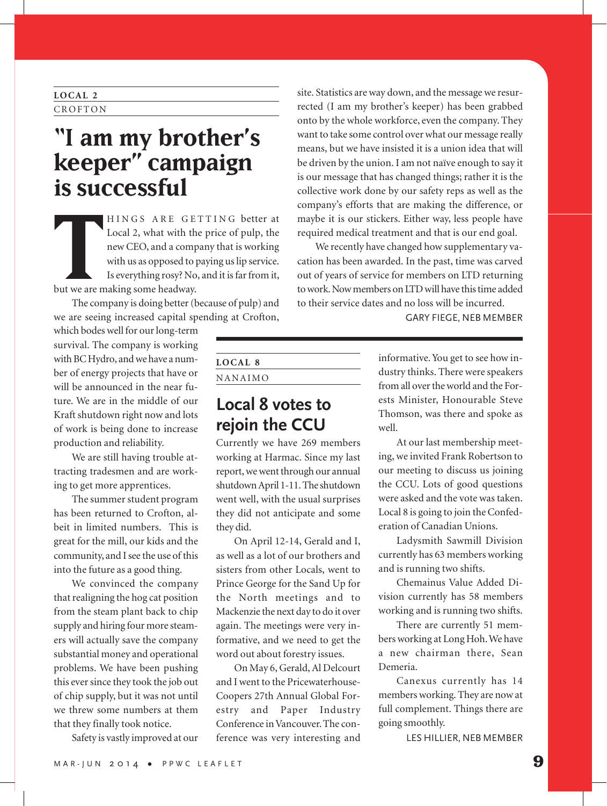## CROFTON

## **"I am my brother's keeper" campaign is successful**

**The Survey of Alberta State** HINGS ARE GETTING better at Local 2, what with the price of pulp, the new CEO, and a company that is working with us as opposed to paying us lip service. Is everything rosy? No, and it is far from it, but we are making some headway.

The company is doing better (because of pulp) and we are seeing increased capital spending at Crofton,

which bodes well for our long-term survival. The company is working with BC Hydro, and we have a number of energy projects that have or will be announced in the near future. We are in the middle of our Kraft shutdown right now and lots of work is being done to increase production and reliability.

We are still having trouble attracting tradesmen and are working to get more apprentices.

The summer student program has been returned to Crofton, albeit in limited numbers. This is great for the mill, our kids and the community, and I see the use of this into the future as a good thing.

We convinced the company that realigning the hog cat position from the steam plant back to chip supply and hiring four more steamers will actually save the company substantial money and operational problems. We have been pushing this ever since they took the job out of chip supply, but it was not until we threw some numbers at them that they finally took notice.

Safety is vastly improved at our

#### **LOCAL 8** NANAIMO

# **Local 8 votes to**

### **rejoin the CCU** Currently we have 269 members working at Harmac. Since my last

report, we went through our annual shutdown April 1-11. The shutdown went well, with the usual surprises they did not anticipate and some they did.

On April 12-14, Gerald and I, as well as a lot of our brothers and sisters from other Locals, went to Prince George for the Sand Up for the North meetings and to Mackenzie the next day to do it over again. The meetings were very informative, and we need to get the word out about forestry issues.

On May 6, Gerald, Al Delcourt and I went to the Pricewaterhouse-Coopers 27th Annual Global Forestry and Paper Industry Conference in Vancouver. The conference was very interesting and

**LOCAL 2** site. Statistics are way down, and the message we resurrected (I am my brother's keeper) has been grabbed onto by the whole workforce, even the company. They want to take some control over what our message really means, but we have insisted it is a union idea that will be driven by the union. I am not naïve enough to say it is our message that has changed things; rather it is the collective work done by our safety reps as well as the company's efforts that are making the difference, or maybe it is our stickers. Either way, less people have required medical treatment and that is our end goal.

> We recently have changed how supplementary vacation has been awarded. In the past, time was carved out of years of service for members on LTD returning to work. Now members on LTD will have this time added to their service dates and no loss will be incurred.

> > GARY FIEGE, NEB MEMBER

informative. You get to see how industry thinks. There were speakers from all over the world and the Forests Minister, Honourable Steve Thomson, was there and spoke as well.

At our last membership meeting, we invited Frank Robertson to our meeting to discuss us joining the CCU. Lots of good questions were asked and the vote was taken. Local 8 is going to join the Confederation of Canadian Unions.

Ladysmith Sawmill Division currently has 63 members working and is running two shifts.

Chemainus Value Added Division currently has 58 members working and is running two shifts.

There are currently 51 members working at Long Hoh. We have a new chairman there, Sean Demeria.

Canexus currently has 14 members working. They are now at full complement. Things there are going smoothly.

LES HILLIER, NEB MEMBER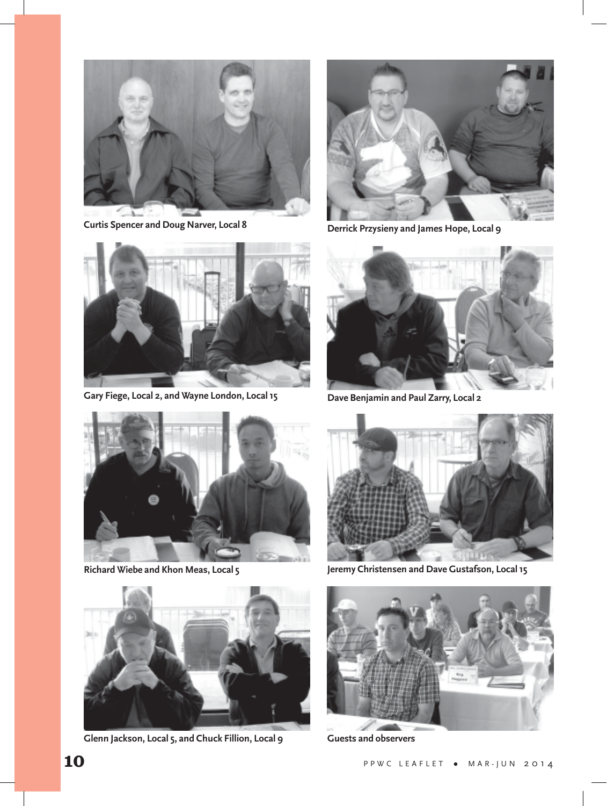

**Curtis Spencer and Doug Narver, Local 8**



**Gary Fiege, Local 2, and Wayne London, Local 15**



**Richard Wiebe and Khon Meas, Local 5**



**Glenn Jackson, Local 5, and Chuck Fillion, Local 9**



**Derrick Przysieny and James Hope, Local 9**



**Dave Benjamin and Paul Zarry, Local 2**



**Jeremy Christensen and Dave Gustafson, Local 15**



**Guests and observers**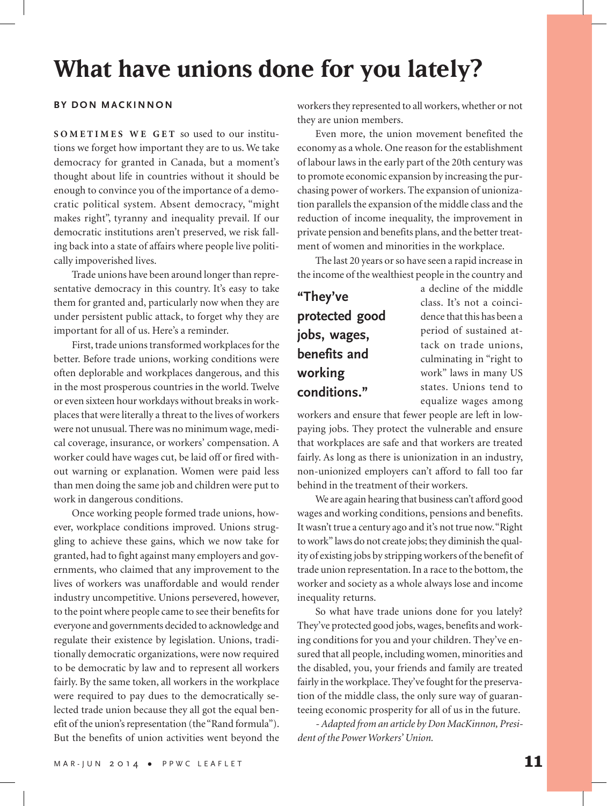# **What have unions done for you lately?**

#### **BY DON MACKINNON**

**SOMETIMES WE GET** so used to our institutions we forget how important they are to us. We take democracy for granted in Canada, but a moment's thought about life in countries without it should be enough to convince you of the importance of a democratic political system. Absent democracy, "might makes right", tyranny and inequality prevail. If our democratic institutions aren't preserved, we risk falling back into a state of affairs where people live politically impoverished lives.

Trade unions have been around longer than representative democracy in this country. It's easy to take them for granted and, particularly now when they are under persistent public attack, to forget why they are important for all of us. Here's a reminder.

First, trade unions transformed workplaces for the better. Before trade unions, working conditions were often deplorable and workplaces dangerous, and this in the most prosperous countries in the world. Twelve or even sixteen hour workdays without breaks in workplaces that were literally a threat to the lives of workers were not unusual. There was no minimum wage, medical coverage, insurance, or workers' compensation. A worker could have wages cut, be laid off or fired without warning or explanation. Women were paid less than men doing the same job and children were put to work in dangerous conditions.

Once working people formed trade unions, however, workplace conditions improved. Unions struggling to achieve these gains, which we now take for granted, had to fight against many employers and governments, who claimed that any improvement to the lives of workers was unaffordable and would render industry uncompetitive. Unions persevered, however, to the point where people came to see their benefits for everyone and governments decided to acknowledge and regulate their existence by legislation. Unions, traditionally democratic organizations, were now required to be democratic by law and to represent all workers fairly. By the same token, all workers in the workplace were required to pay dues to the democratically selected trade union because they all got the equal benefit of the union's representation (the "Rand formula"). But the benefits of union activities went beyond the

workers they represented to all workers, whether or not they are union members.

Even more, the union movement benefited the economy as a whole. One reason for the establishment of labour laws in the early part of the 20th century was to promote economic expansion by increasing the purchasing power of workers. The expansion of unionization parallels the expansion of the middle class and the reduction of income inequality, the improvement in private pension and benefits plans, and the better treatment of women and minorities in the workplace.

The last 20 years or so have seen a rapid increase in the income of the wealthiest people in the country and

**"They've protected good jobs, wages, benefits and working conditions."**

a decline of the middle class. It's not a coincidence that this has been a period of sustained attack on trade unions, culminating in "right to work" laws in many US states. Unions tend to equalize wages among

workers and ensure that fewer people are left in lowpaying jobs. They protect the vulnerable and ensure that workplaces are safe and that workers are treated fairly. As long as there is unionization in an industry, non-unionized employers can't afford to fall too far behind in the treatment of their workers.

We are again hearing that business can't afford good wages and working conditions, pensions and benefits. It wasn't true a century ago and it's not true now. "Right to work" laws do not create jobs; they diminish the quality of existing jobs by stripping workers of the benefit of trade union representation. In a race to the bottom, the worker and society as a whole always lose and income inequality returns.

So what have trade unions done for you lately? They've protected good jobs, wages, benefits and working conditions for you and your children. They've ensured that all people, including women, minorities and the disabled, you, your friends and family are treated fairly in the workplace. They've fought for the preservation of the middle class, the only sure way of guaranteeing economic prosperity for all of us in the future.

*- Adapted from an article by Don MacKinnon, President of the Power Workers' Union.*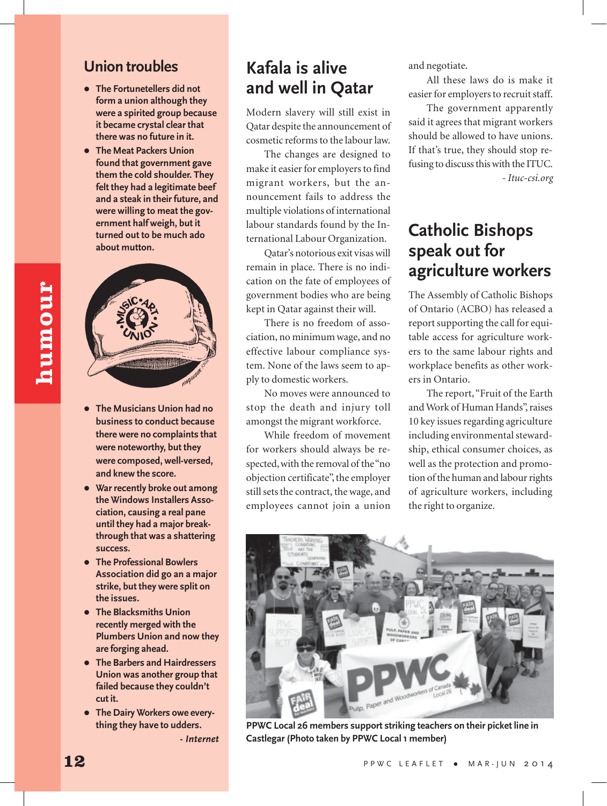### **Union troubles**

- **The Fortunetellers did not form a union although they were a spirited group because it became crystal clear that there was no future in it.**
- **The Meat Packers Union found that government gave them the cold shoulder. They felt they had a legitimate beef and a steak in their future, and were willing to meat the government half weigh, but it turned out to be much ado about mutton.**



- **The Musicians Union had no business to conduct because there were no complaints that were noteworthy, but they were composed, well-versed, and knew the score.**
- **War recently broke out among the Windows Installers Association, causing a real pane until they had a major breakthrough that was a shattering success.**
- **The Professional Bowlers Association did go an a major strike, but they were split on the issues.**
- **The Blacksmiths Union recently merged with the Plumbers Union and now they are forging ahead.**
- **The Barbers and Hairdressers Union was another group that failed because they couldn't cut it.**
- **The Dairy Workers owe everything they have to udders.**

*- Internet*

## **Kafala is alive and well in Qatar**

Modern slavery will still exist in Qatar despite the announcement of cosmetic reforms to the labour law.

The changes are designed to make it easier for employers to find migrant workers, but the announcement fails to address the multiple violations of international labour standards found by the International Labour Organization.

Qatar's notorious exit visas will remain in place. There is no indication on the fate of employees of government bodies who are being kept in Qatar against their will.

There is no freedom of association, no minimum wage, and no effective labour compliance system. None of the laws seem to apply to domestic workers.

No moves were announced to stop the death and injury toll amongst the migrant workforce.

While freedom of movement for workers should always be respected, with the removal of the "no objection certificate", the employer still sets the contract, the wage, and employees cannot join a union

and negotiate.

All these laws do is make it easier for employers to recruit staff.

The government apparently said it agrees that migrant workers should be allowed to have unions. If that's true, they should stop refusing to discuss this with the ITUC. *- Ituc-csi.org*

## **Catholic Bishops speak out for agriculture workers**

The Assembly of Catholic Bishops of Ontario (ACBO) has released a report supporting the call for equitable access for agriculture workers to the same labour rights and workplace benefits as other workers in Ontario.

The report, "Fruit of the Earth and Work of Human Hands", raises 10 key issues regarding agriculture including environmental stewardship, ethical consumer choices, as well as the protection and promotion of the human and labour rights of agriculture workers, including the right to organize.



**PPWC Local 26 members support striking teachers on their picket line in Castlegar (Photo taken by PPWC Local 1 member)**

humour **humour**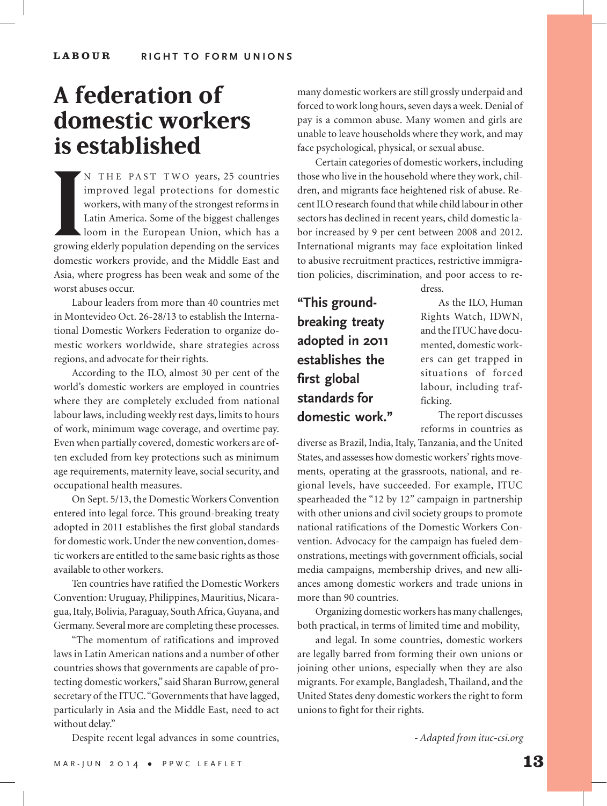#### **LABOUR RIGHT TO FORM UNIONS**

## **A federation of domestic workers is established**

**I**<br>**I**<br>**I**<br>**I**<br>**I**<br>**I** N THE PAST TWO years, 25 countries improved legal protections for domestic workers, with many of the strongest reforms in Latin America. Some of the biggest challenges loom in the European Union, which has a growing elderly population depending on the services domestic workers provide, and the Middle East and Asia, where progress has been weak and some of the worst abuses occur.

Labour leaders from more than 40 countries met in Montevideo Oct. 26-28/13 to establish the International Domestic Workers Federation to organize domestic workers worldwide, share strategies across regions, and advocate for their rights.

According to the ILO, almost 30 per cent of the world's domestic workers are employed in countries where they are completely excluded from national labour laws, including weekly rest days, limits to hours of work, minimum wage coverage, and overtime pay. Even when partially covered, domestic workers are often excluded from key protections such as minimum age requirements, maternity leave, social security, and occupational health measures.

On Sept. 5/13, the Domestic Workers Convention entered into legal force. This ground-breaking treaty adopted in 2011 establishes the first global standards for domestic work. Under the new convention, domestic workers are entitled to the same basic rights as those available to other workers.

Ten countries have ratified the Domestic Workers Convention: Uruguay, Philippines, Mauritius, Nicaragua, Italy, Bolivia, Paraguay, South Africa, Guyana, and Germany. Several more are completing these processes.

"The momentum of ratifications and improved laws in Latin American nations and a number of other countries shows that governments are capable of protecting domestic workers," said Sharan Burrow, general secretary of the ITUC. "Governments that have lagged, particularly in Asia and the Middle East, need to act without delay."

Despite recent legal advances in some countries,

many domestic workers are still grossly underpaid and forced to work long hours, seven days a week. Denial of pay is a common abuse. Many women and girls are unable to leave households where they work, and may face psychological, physical, or sexual abuse.

Certain categories of domestic workers, including those who live in the household where they work, children, and migrants face heightened risk of abuse. Recent ILO research found that while child labour in other sectors has declined in recent years, child domestic labor increased by 9 per cent between 2008 and 2012. International migrants may face exploitation linked to abusive recruitment practices, restrictive immigration policies, discrimination, and poor access to re-

dress.

**"This groundbreaking treaty adopted in 2011 establishes the first global standards for domestic work."**

As the ILO, Human Rights Watch, IDWN, and the ITUC have documented, domestic workers can get trapped in situations of forced labour, including trafficking.

The report discusses reforms in countries as

diverse as Brazil, India, Italy, Tanzania, and the United States, and assesses how domestic workers' rights movements, operating at the grassroots, national, and regional levels, have succeeded. For example, ITUC spearheaded the "12 by 12" campaign in partnership with other unions and civil society groups to promote national ratifications of the Domestic Workers Convention. Advocacy for the campaign has fueled demonstrations, meetings with government officials, social media campaigns, membership drives, and new alliances among domestic workers and trade unions in more than 90 countries.

Organizing domestic workers has many challenges, both practical, in terms of limited time and mobility,

and legal. In some countries, domestic workers are legally barred from forming their own unions or joining other unions, especially when they are also migrants. For example, Bangladesh, Thailand, and the United States deny domestic workers the right to form unions to fight for their rights.

*- Adapted from ituc-csi.org*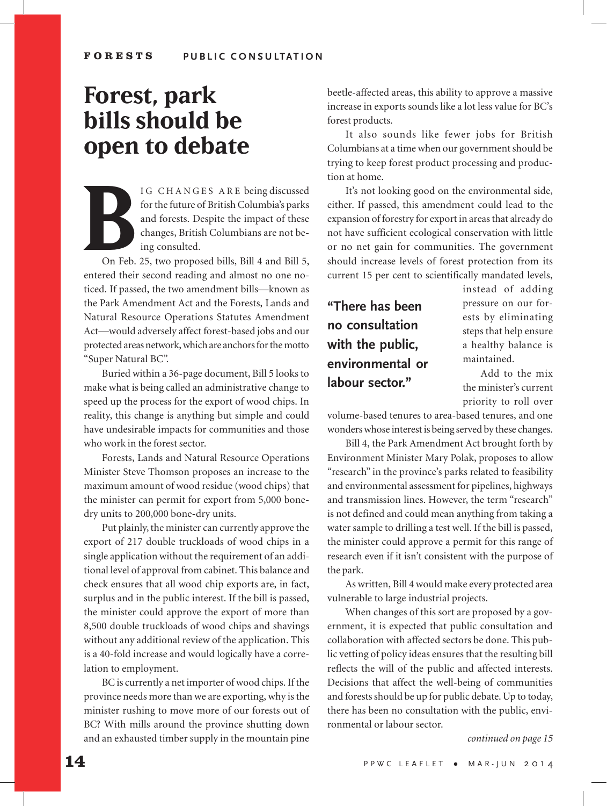## **Forest, park bills should be open to debate**

### **B**<br>On Feb. IG CHANGES ARE being discussed for the future of British Columbia's parks and forests. Despite the impact of these changes, British Columbians are not being consulted.

On Feb. 25, two proposed bills, Bill 4 and Bill 5, entered their second reading and almost no one noticed. If passed, the two amendment bills—known as the Park Amendment Act and the Forests, Lands and Natural Resource Operations Statutes Amendment Act—would adversely affect forest-based jobs and our protected areas network, which are anchors for the motto "Super Natural BC".

Buried within a 36-page document, Bill 5 looks to make what is being called an administrative change to speed up the process for the export of wood chips. In reality, this change is anything but simple and could have undesirable impacts for communities and those who work in the forest sector.

Forests, Lands and Natural Resource Operations Minister Steve Thomson proposes an increase to the maximum amount of wood residue (wood chips) that the minister can permit for export from 5,000 bonedry units to 200,000 bone-dry units.

Put plainly, the minister can currently approve the export of 217 double truckloads of wood chips in a single application without the requirement of an additional level of approval from cabinet. This balance and check ensures that all wood chip exports are, in fact, surplus and in the public interest. If the bill is passed, the minister could approve the export of more than 8,500 double truckloads of wood chips and shavings without any additional review of the application. This is a 40-fold increase and would logically have a correlation to employment.

BC is currently a net importer of wood chips. If the province needs more than we are exporting, why is the minister rushing to move more of our forests out of BC? With mills around the province shutting down and an exhausted timber supply in the mountain pine

beetle-affected areas, this ability to approve a massive increase in exports sounds like a lot less value for BC's forest products.

It also sounds like fewer jobs for British Columbians at a time when our government should be trying to keep forest product processing and production at home.

It's not looking good on the environmental side, either. If passed, this amendment could lead to the expansion of forestry for export in areas that already do not have sufficient ecological conservation with little or no net gain for communities. The government should increase levels of forest protection from its current 15 per cent to scientifically mandated levels,

### **"There has been no consultation with the public, environmental or labour sector."**

instead of adding pressure on our forests by eliminating steps that help ensure a healthy balance is maintained.

Add to the mix the minister's current priority to roll over

volume-based tenures to area-based tenures, and one wonders whose interest is being served by these changes.

Bill 4, the Park Amendment Act brought forth by Environment Minister Mary Polak, proposes to allow "research" in the province's parks related to feasibility and environmental assessment for pipelines, highways and transmission lines. However, the term "research" is not defined and could mean anything from taking a water sample to drilling a test well. If the bill is passed, the minister could approve a permit for this range of research even if it isn't consistent with the purpose of the park.

As written, Bill 4 would make every protected area vulnerable to large industrial projects.

When changes of this sort are proposed by a government, it is expected that public consultation and collaboration with affected sectors be done. This public vetting of policy ideas ensures that the resulting bill reflects the will of the public and affected interests. Decisions that affect the well-being of communities and forests should be up for public debate. Up to today, there has been no consultation with the public, environmental or labour sector.

*continued on page 15*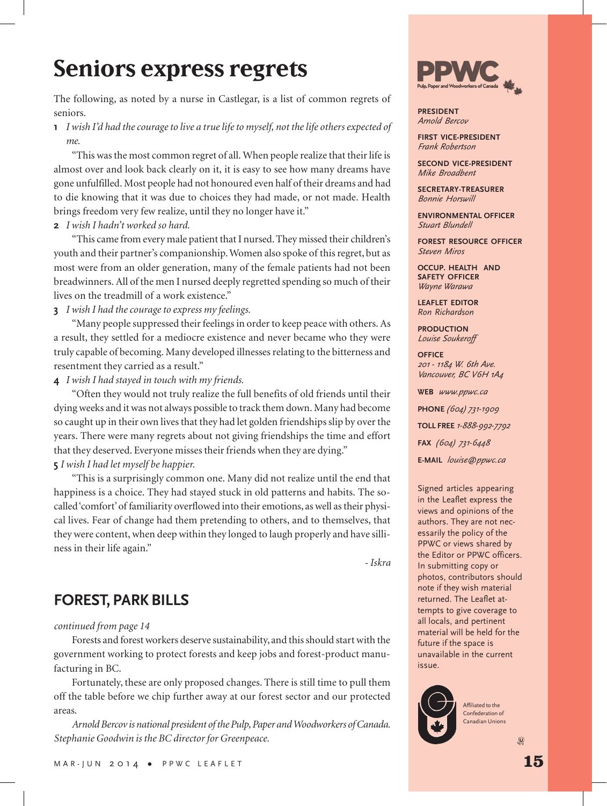# **Seniors express regrets**

The following, as noted by a nurse in Castlegar, is a list of common regrets of seniors.

**1** *I wish I'd had the courage to live a true life to myself, not the life others expected of me.*

"This was the most common regret of all. When people realize that their life is almost over and look back clearly on it, it is easy to see how many dreams have gone unfulfilled. Most people had not honoured even half of their dreams and had to die knowing that it was due to choices they had made, or not made. Health brings freedom very few realize, until they no longer have it."

**2** *I wish I hadn't worked so hard.*

"This came from every male patient that I nursed. They missed their children's youth and their partner's companionship. Women also spoke of this regret, but as most were from an older generation, many of the female patients had not been breadwinners. All of the men I nursed deeply regretted spending so much of their lives on the treadmill of a work existence."

**3** *I wish I had the courage to express my feelings.*

"Many people suppressed their feelings in order to keep peace with others. As a result, they settled for a mediocre existence and never became who they were truly capable of becoming. Many developed illnesses relating to the bitterness and resentment they carried as a result."

**4** *I wish I had stayed in touch with my friends.*

"Often they would not truly realize the full benefits of old friends until their dying weeks and it was not always possible to track them down. Many had become so caught up in their own lives that they had let golden friendships slip by over the years. There were many regrets about not giving friendships the time and effort that they deserved. Everyone misses their friends when they are dying."

#### **5** *I wish I had let myself be happier.*

"This is a surprisingly common one. Many did not realize until the end that happiness is a choice. They had stayed stuck in old patterns and habits. The socalled 'comfort' of familiarity overflowed into their emotions, as well as their physical lives. Fear of change had them pretending to others, and to themselves, that they were content, when deep within they longed to laugh properly and have silliness in their life again."

*- Iskra*

### **FOREST, PARK BILLS**

#### *continued from page 14*

Forests and forest workers deserve sustainability, and this should start with the government working to protect forests and keep jobs and forest-product manufacturing in BC.

Fortunately, these are only proposed changes. There is still time to pull them off the table before we chip further away at our forest sector and our protected areas.

*Arnold Bercov is national president of the Pulp, Paper and Woodworkers of Canada. Stephanie Goodwin is the BC director for Greenpeace.*



**PRESIDENT** *Arnold Bercov*

**FIRST VICE-PRESIDENT** *Frank Robertson*

**SECOND VICE-PRESIDENT** *Mike Broadbent*

**SECRETARY-TREASURER** *Bonnie Horswill*

**ENVIRONMENTAL OFFICER** *Stuart Blundell*

**FOREST RESOURCE OFFICER** *Steven Miros*

**OCCUP. HEALTH AND SAFETY OFFICER** *Wayne Warawa*

**LEAFLET EDITOR** *Ron Richardson*

**PRODUCTION** *Louise Soukeroff*

**OFFICE** *201 - 1184 W. 6th Ave. Vancouver, BC V6H 1A4*

**WEB** *www.ppwc.ca*

**PHONE** *(604) 731-1909*

**TOLL FREE** *1-888-992-7792*

**FAX** *(604) 731-6448*

**E-MAIL** *louise@ppwc.ca*

Signed articles appearing in the Leaflet express the views and opinions of the authors. They are not necessarily the policy of the PPWC or views shared by the Editor or PPWC officers. In submitting copy or photos, contributors should note if they wish material returned. The Leaflet attempts to give coverage to all locals, and pertinent material will be held for the future if the space is unavailable in the current issue.



Affiliated to the Confederation of Canadian Unions

 $\overline{\mathbb{Q}}$